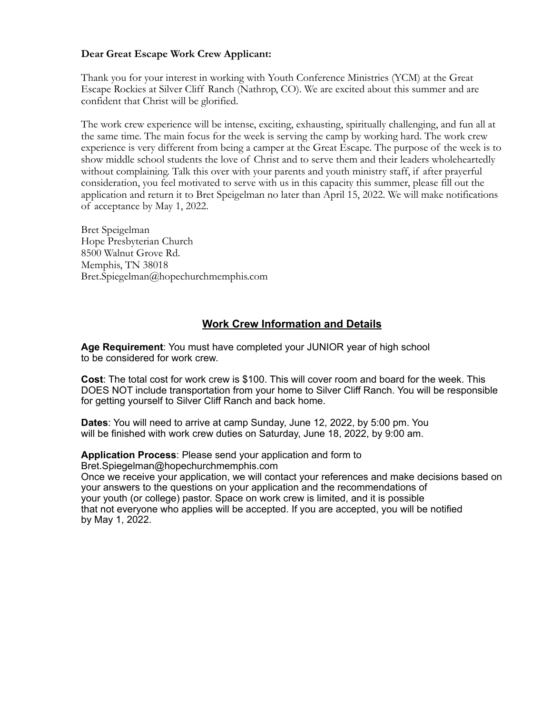#### **Dear Great Escape Work Crew Applicant:**

Thank you for your interest in working with Youth Conference Ministries (YCM) at the Great Escape Rockies at Silver Cliff Ranch (Nathrop, CO). We are excited about this summer and are confident that Christ will be glorified.

The work crew experience will be intense, exciting, exhausting, spiritually challenging, and fun all at the same time. The main focus for the week is serving the camp by working hard. The work crew experience is very different from being a camper at the Great Escape. The purpose of the week is to show middle school students the love of Christ and to serve them and their leaders wholeheartedly without complaining. Talk this over with your parents and youth ministry staff, if after prayerful consideration, you feel motivated to serve with us in this capacity this summer, please fill out the application and return it to Bret Speigelman no later than April 15, 2022. We will make notifications of acceptance by May 1, 2022.

Bret Speigelman Hope Presbyterian Church 8500 Walnut Grove Rd. Memphis, TN 38018 Bret.Spiegelman@hopechurchmemphis.com

#### **Work Crew Information and Details**

**Age Requirement**: You must have completed your JUNIOR year of high school to be considered for work crew.

**Cost**: The total cost for work crew is \$100. This will cover room and board for the week. This DOES NOT include transportation from your home to Silver Cliff Ranch. You will be responsible for getting yourself to Silver Cliff Ranch and back home.

**Dates**: You will need to arrive at camp Sunday, June 12, 2022, by 5:00 pm. You will be finished with work crew duties on Saturday, June 18, 2022, by 9:00 am.

#### **Application Process**: Please send your application and form to

Bret.Spiegelman@hopechurchmemphis.com

Once we receive your application, we will contact your references and make decisions based on your answers to the questions on your application and the recommendations of your youth (or college) pastor. Space on work crew is limited, and it is possible that not everyone who applies will be accepted. If you are accepted, you will be notified by May 1, 2022.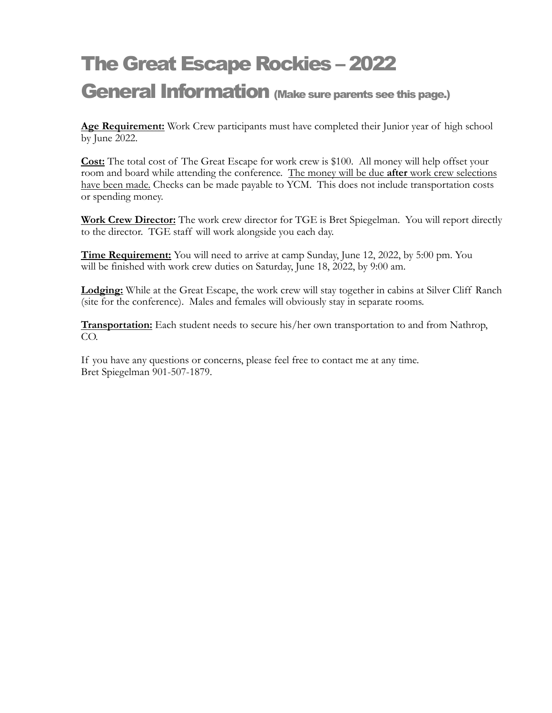# The Great Escape Rockies – 2022

### General Information (Make sure parents see this page.)

**Age Requirement:** Work Crew participants must have completed their Junior year of high school by June 2022.

**Cost:** The total cost of The Great Escape for work crew is \$100. All money will help offset your room and board while attending the conference. The money will be due **after** work crew selections have been made. Checks can be made payable to YCM. This does not include transportation costs or spending money.

**Work Crew Director:** The work crew director for TGE is Bret Spiegelman. You will report directly to the director. TGE staff will work alongside you each day.

**Time Requirement:** You will need to arrive at camp Sunday, June 12, 2022, by 5:00 pm. You will be finished with work crew duties on Saturday, June 18, 2022, by 9:00 am.

**Lodging:** While at the Great Escape, the work crew will stay together in cabins at Silver Cliff Ranch (site for the conference). Males and females will obviously stay in separate rooms.

**Transportation:** Each student needs to secure his/her own transportation to and from Nathrop, CO.

If you have any questions or concerns, please feel free to contact me at any time. Bret Spiegelman 901-507-1879.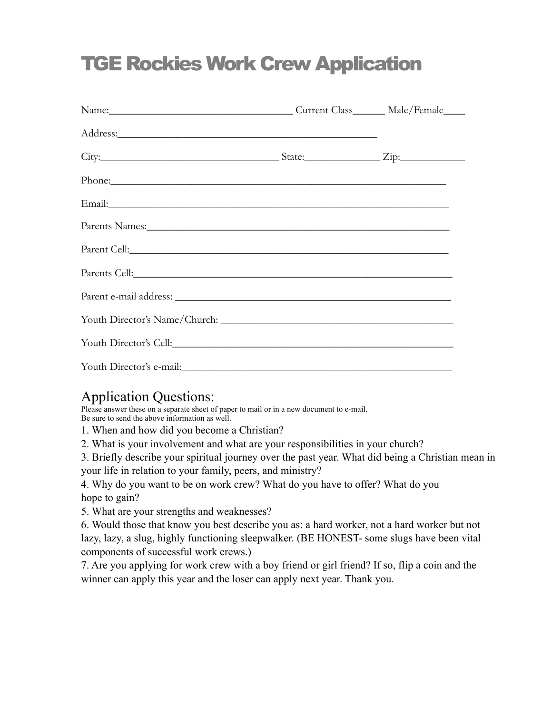# TGE Rockies Work Crew Application

| Name: Male/Female                                                                                                                                                                                                              |  |
|--------------------------------------------------------------------------------------------------------------------------------------------------------------------------------------------------------------------------------|--|
|                                                                                                                                                                                                                                |  |
|                                                                                                                                                                                                                                |  |
| Phone:                                                                                                                                                                                                                         |  |
|                                                                                                                                                                                                                                |  |
|                                                                                                                                                                                                                                |  |
|                                                                                                                                                                                                                                |  |
| Parents Cell: No. 1998                                                                                                                                                                                                         |  |
|                                                                                                                                                                                                                                |  |
|                                                                                                                                                                                                                                |  |
| Youth Director's Cell: Contact Contact Contact Contact Contact Contact Contact Contact Contact Contact Contact Contact Contact Contact Contact Contact Contact Contact Contact Contact Contact Contact Contact Contact Contact |  |
|                                                                                                                                                                                                                                |  |

### Application Questions:

Please answer these on a separate sheet of paper to mail or in a new document to e-mail. Be sure to send the above information as well.

1. When and how did you become a Christian?

2. What is your involvement and what are your responsibilities in your church?

3. Briefly describe your spiritual journey over the past year. What did being a Christian mean in your life in relation to your family, peers, and ministry?

4. Why do you want to be on work crew? What do you have to offer? What do you hope to gain?

5. What are your strengths and weaknesses?

6. Would those that know you best describe you as: a hard worker, not a hard worker but not lazy, lazy, a slug, highly functioning sleepwalker. (BE HONEST- some slugs have been vital components of successful work crews.)

7. Are you applying for work crew with a boy friend or girl friend? If so, flip a coin and the winner can apply this year and the loser can apply next year. Thank you.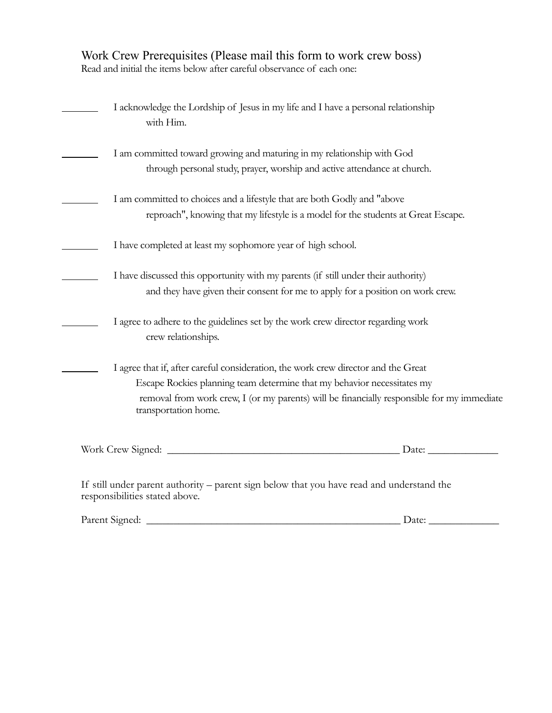| Work Crew Prerequisites (Please mail this form to work crew boss)      |
|------------------------------------------------------------------------|
| Read and initial the items below after careful observance of each one: |

| I acknowledge the Lordship of Jesus in my life and I have a personal relationship<br>with Him.                                                                                                                                                                                      |  |  |  |  |  |
|-------------------------------------------------------------------------------------------------------------------------------------------------------------------------------------------------------------------------------------------------------------------------------------|--|--|--|--|--|
| I am committed toward growing and maturing in my relationship with God<br>through personal study, prayer, worship and active attendance at church.                                                                                                                                  |  |  |  |  |  |
| I am committed to choices and a lifestyle that are both Godly and "above<br>reproach", knowing that my lifestyle is a model for the students at Great Escape.                                                                                                                       |  |  |  |  |  |
| I have completed at least my sophomore year of high school.                                                                                                                                                                                                                         |  |  |  |  |  |
| I have discussed this opportunity with my parents (if still under their authority)<br>and they have given their consent for me to apply for a position on work crew.                                                                                                                |  |  |  |  |  |
| I agree to adhere to the guidelines set by the work crew director regarding work<br>crew relationships.                                                                                                                                                                             |  |  |  |  |  |
| I agree that if, after careful consideration, the work crew director and the Great<br>Escape Rockies planning team determine that my behavior necessitates my<br>removal from work crew, I (or my parents) will be financially responsible for my immediate<br>transportation home. |  |  |  |  |  |
| Date:                                                                                                                                                                                                                                                                               |  |  |  |  |  |
| If still under parent authority – parent sign below that you have read and understand the<br>responsibilities stated above.                                                                                                                                                         |  |  |  |  |  |

| Parent Signed: | Date <sup>-</sup> |
|----------------|-------------------|
|                |                   |